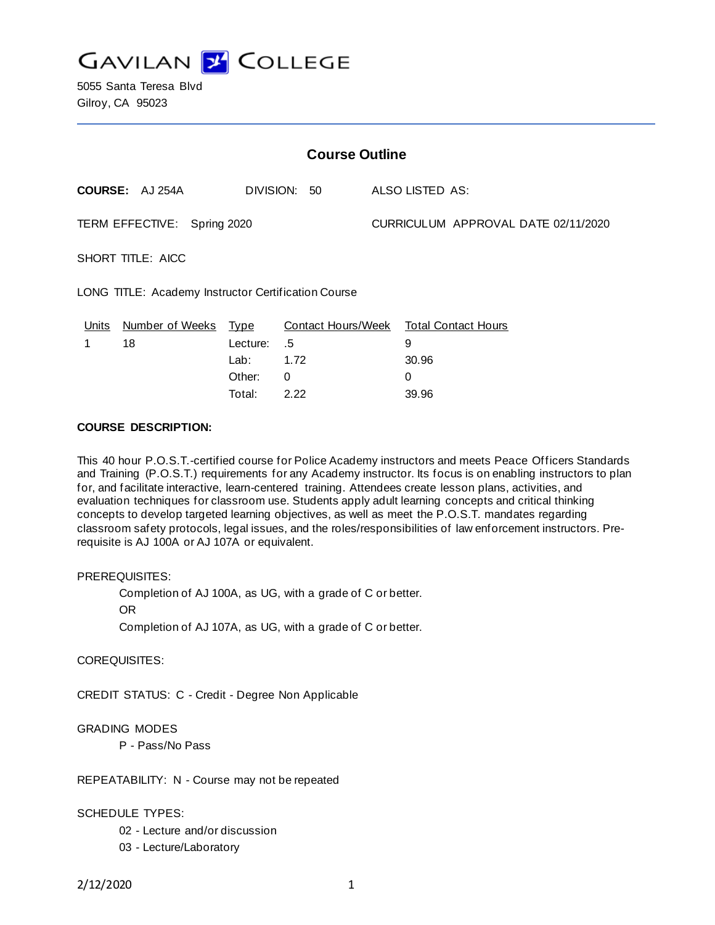

5055 Santa Teresa Blvd Gilroy, CA 95023

| <b>Course Outline</b>                               |                        |             |                           |                                     |                            |
|-----------------------------------------------------|------------------------|-------------|---------------------------|-------------------------------------|----------------------------|
|                                                     | COURSE: AJ 254A        |             | DIVISION: 50              |                                     | ALSO LISTED AS:            |
| TERM EFFECTIVE: Spring 2020                         |                        |             |                           | CURRICULUM APPROVAL DATE 02/11/2020 |                            |
| SHORT TITLE: AICC                                   |                        |             |                           |                                     |                            |
| LONG TITLE: Academy Instructor Certification Course |                        |             |                           |                                     |                            |
| Units                                               | <b>Number of Weeks</b> | <u>Type</u> | <b>Contact Hours/Week</b> |                                     | <b>Total Contact Hours</b> |
| 1                                                   | 18                     | Lecture:    | .5                        |                                     | 9                          |
|                                                     |                        | Lab:        | 1.72                      |                                     | 30.96                      |
|                                                     |                        | Other:      | 0                         |                                     | $\mathbf 0$                |
|                                                     |                        | Total:      | 2.22                      |                                     | 39.96                      |

## **COURSE DESCRIPTION:**

This 40 hour P.O.S.T.-certified course for Police Academy instructors and meets Peace Officers Standards and Training (P.O.S.T.) requirements for any Academy instructor. Its focus is on enabling instructors to plan for, and facilitate interactive, learn-centered training. Attendees create lesson plans, activities, and evaluation techniques for classroom use. Students apply adult learning concepts and critical thinking concepts to develop targeted learning objectives, as well as meet the P.O.S.T. mandates regarding classroom safety protocols, legal issues, and the roles/responsibilities of law enforcement instructors. Prerequisite is AJ 100A or AJ 107A or equivalent.

#### PREREQUISITES:

Completion of AJ 100A, as UG, with a grade of C or better.

OR

Completion of AJ 107A, as UG, with a grade of C or better.

COREQUISITES:

CREDIT STATUS: C - Credit - Degree Non Applicable

#### GRADING MODES

P - Pass/No Pass

REPEATABILITY: N - Course may not be repeated

#### SCHEDULE TYPES:

- 02 Lecture and/or discussion
- 03 Lecture/Laboratory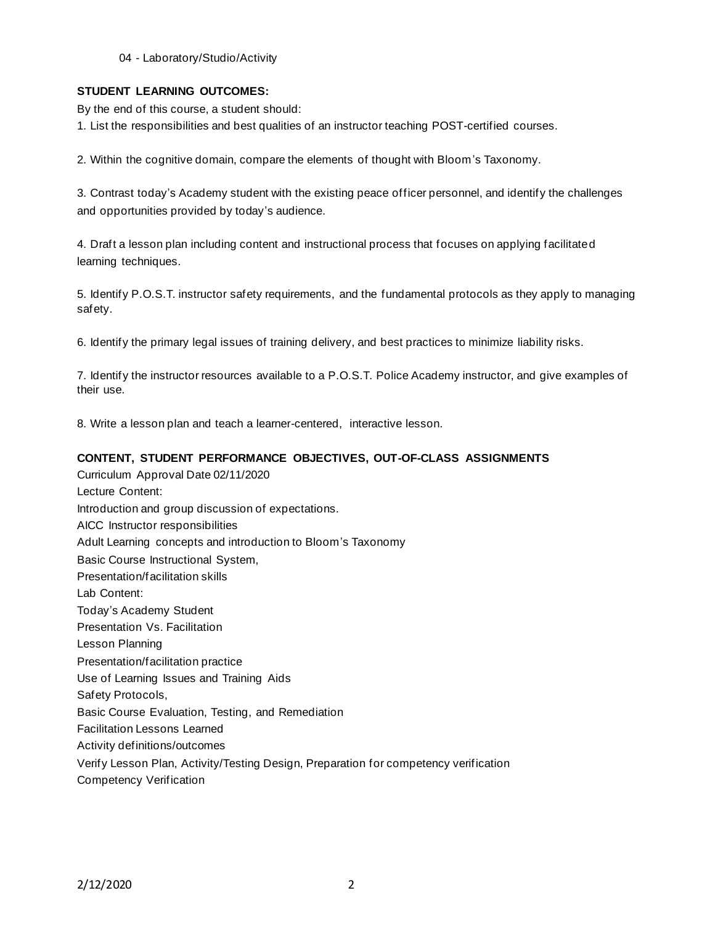04 - Laboratory/Studio/Activity

### **STUDENT LEARNING OUTCOMES:**

By the end of this course, a student should:

1. List the responsibilities and best qualities of an instructor teaching POST-certified courses.

2. Within the cognitive domain, compare the elements of thought with Bloom's Taxonomy.

3. Contrast today's Academy student with the existing peace officer personnel, and identify the challenges and opportunities provided by today's audience.

4. Draft a lesson plan including content and instructional process that focuses on applying facilitated learning techniques.

5. Identify P.O.S.T. instructor safety requirements, and the fundamental protocols as they apply to managing safety.

6. Identify the primary legal issues of training delivery, and best practices to minimize liability risks.

7. Identify the instructor resources available to a P.O.S.T. Police Academy instructor, and give examples of their use.

8. Write a lesson plan and teach a learner-centered, interactive lesson.

### **CONTENT, STUDENT PERFORMANCE OBJECTIVES, OUT-OF-CLASS ASSIGNMENTS**

Curriculum Approval Date 02/11/2020 Lecture Content: Introduction and group discussion of expectations. AICC Instructor responsibilities Adult Learning concepts and introduction to Bloom's Taxonomy Basic Course Instructional System, Presentation/facilitation skills Lab Content: Today's Academy Student Presentation Vs. Facilitation Lesson Planning Presentation/facilitation practice Use of Learning Issues and Training Aids Safety Protocols, Basic Course Evaluation, Testing, and Remediation Facilitation Lessons Learned Activity definitions/outcomes Verify Lesson Plan, Activity/Testing Design, Preparation for competency verification Competency Verification